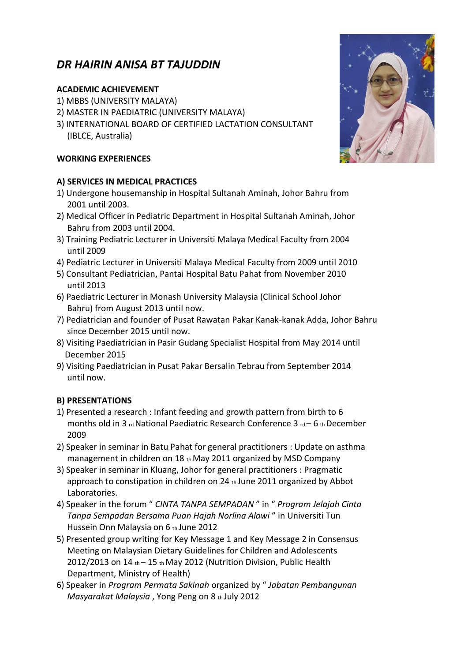# *DR HAIRIN ANISA BT TAJUDDIN*

### **ACADEMIC ACHIEVEMENT**

- 1) MBBS (UNIVERSITY MALAYA)
- 2) MASTER IN PAEDIATRIC (UNIVERSITY MALAYA)
- 3) INTERNATIONAL BOARD OF CERTIFIED LACTATION CONSULTANT (IBLCE, Australia)

### **WORKING EXPERIENCES**

### **A) SERVICES IN MEDICAL PRACTICES**

- 1) Undergone housemanship in Hospital Sultanah Aminah, Johor Bahru from 2001 until 2003.
- 2) Medical Officer in Pediatric Department in Hospital Sultanah Aminah, Johor Bahru from 2003 until 2004.
- 3) Training Pediatric Lecturer in Universiti Malaya Medical Faculty from 2004 until 2009
- 4) Pediatric Lecturer in Universiti Malaya Medical Faculty from 2009 until 2010
- 5) Consultant Pediatrician, Pantai Hospital Batu Pahat from November 2010 until 2013
- 6) Paediatric Lecturer in Monash University Malaysia (Clinical School Johor Bahru) from August 2013 until now.
- 7) Pediatrician and founder of Pusat Rawatan Pakar Kanak-kanak Adda, Johor Bahru since December 2015 until now.
- 8) Visiting Paediatrician in Pasir Gudang Specialist Hospital from May 2014 until December 2015
- 9) Visiting Paediatrician in Pusat Pakar Bersalin Tebrau from September 2014 until now.

## **B) PRESENTATIONS**

- 1) Presented a research : Infant feeding and growth pattern from birth to 6 months old in 3 rd National Paediatric Research Conference 3 rd – 6 th December 2009
- 2) Speaker in seminar in Batu Pahat for general practitioners : Update on asthma management in children on 18 th May 2011 organized by MSD Company
- 3) Speaker in seminar in Kluang, Johor for general practitioners : Pragmatic approach to constipation in children on 24 th June 2011 organized by Abbot Laboratories.
- 4) Speaker in the forum " *CINTA TANPA SEMPADAN* " in " *Program Jelajah Cinta Tanpa Sempadan Bersama Puan Hajah Norlina Alawi* " in Universiti Tun Hussein Onn Malaysia on 6 th June 2012
- 5) Presented group writing for Key Message 1 and Key Message 2 in Consensus Meeting on Malaysian Dietary Guidelines for Children and Adolescents  $2012/2013$  on  $14$  th –  $15$  th May 2012 (Nutrition Division, Public Health Department, Ministry of Health)
- 6) Speaker in *Program Permata Sakinah* organized by " *Jabatan Pembangunan Masyarakat Malaysia* , Yong Peng on 8 th July 2012

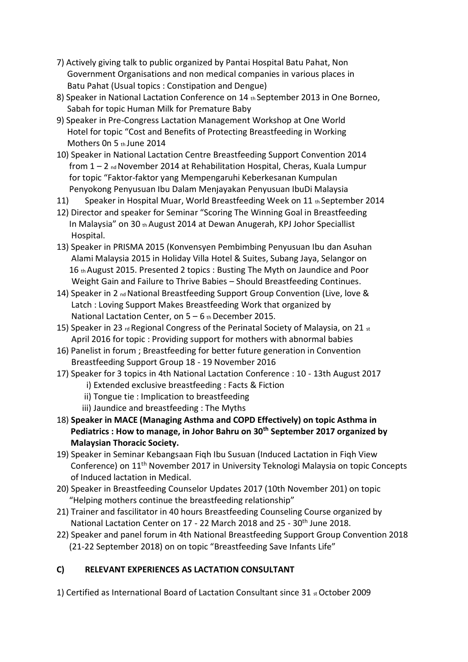- 7) Actively giving talk to public organized by Pantai Hospital Batu Pahat, Non Government Organisations and non medical companies in various places in Batu Pahat (Usual topics : Constipation and Dengue)
- 8) Speaker in National Lactation Conference on 14 th September 2013 in One Borneo, Sabah for topic Human Milk for Premature Baby
- 9) Speaker in Pre-Congress Lactation Management Workshop at One World Hotel for topic "Cost and Benefits of Protecting Breastfeeding in Working Mothers On 5 th June 2014
- 10) Speaker in National Lactation Centre Breastfeeding Support Convention 2014 from 1 – 2 nd November 2014 at Rehabilitation Hospital, Cheras, Kuala Lumpur for topic "Faktor-faktor yang Mempengaruhi Keberkesanan Kumpulan Penyokong Penyusuan Ibu Dalam Menjayakan Penyusuan IbuDi Malaysia
- 11) Speaker in Hospital Muar, World Breastfeeding Week on 11 th September 2014
- 12) Director and speaker for Seminar "Scoring The Winning Goal in Breastfeeding In Malaysia" on 30 th August 2014 at Dewan Anugerah, KPJ Johor Speciallist Hospital.
- 13) Speaker in PRISMA 2015 (Konvensyen Pembimbing Penyusuan Ibu dan Asuhan Alami Malaysia 2015 in Holiday Villa Hotel & Suites, Subang Jaya, Selangor on 16 th August 2015. Presented 2 topics : Busting The Myth on Jaundice and Poor Weight Gain and Failure to Thrive Babies – Should Breastfeeding Continues.
- 14) Speaker in 2 nd National Breastfeeding Support Group Convention (Live, love & Latch : Loving Support Makes Breastfeeding Work that organized by National Lactation Center, on  $5 - 6$  th December 2015.
- 15) Speaker in 23  $rd$  Regional Congress of the Perinatal Society of Malaysia, on 21  $_{st}$ April 2016 for topic : Providing support for mothers with abnormal babies
- 16) Panelist in forum ; Breastfeeding for better future generation in Convention Breastfeeding Support Group 18 - 19 November 2016
- 17) Speaker for 3 topics in 4th National Lactation Conference : 10 13th August 2017 i) Extended exclusive breastfeeding : Facts & Fiction
	- ii) Tongue tie : Implication to breastfeeding
	- iii) Jaundice and breastfeeding : The Myths
- 18) **Speaker in MACE (Managing Asthma and COPD Effectively) on topic Asthma in Pediatrics : How to manage, in Johor Bahru on 30th September 2017 organized by Malaysian Thoracic Society.**
- 19) Speaker in Seminar Kebangsaan Fiqh Ibu Susuan (Induced Lactation in Fiqh View Conference) on 11th November 2017 in University Teknologi Malaysia on topic Concepts of Induced lactation in Medical.
- 20) Speaker in Breastfeeding Counselor Updates 2017 (10th November 201) on topic "Helping mothers continue the breastfeeding relationship"
- 21) Trainer and fascilitator in 40 hours Breastfeeding Counseling Course organized by National Lactation Center on 17 - 22 March 2018 and 25 - 30<sup>th</sup> June 2018.
- 22) Speaker and panel forum in 4th National Breastfeeding Support Group Convention 2018 (21-22 September 2018) on on topic "Breastfeeding Save Infants Life"

# **C) RELEVANT EXPERIENCES AS LACTATION CONSULTANT**

1) Certified as International Board of Lactation Consultant since  $31$  st October 2009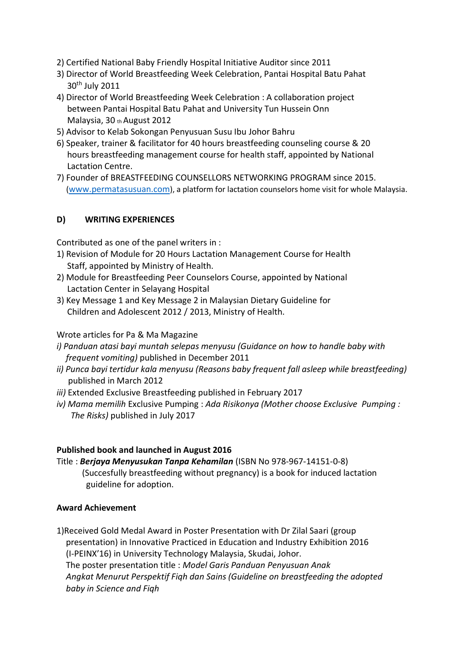- 2) Certified National Baby Friendly Hospital Initiative Auditor since 2011
- 3) Director of World Breastfeeding Week Celebration, Pantai Hospital Batu Pahat 30th July 2011
- 4) Director of World Breastfeeding Week Celebration : A collaboration project between Pantai Hospital Batu Pahat and University Tun Hussein Onn Malaysia, 30 th August 2012
- 5) Advisor to Kelab Sokongan Penyusuan Susu Ibu Johor Bahru
- 6) Speaker, trainer & facilitator for 40 hours breastfeeding counseling course & 20 hours breastfeeding management course for health staff, appointed by National Lactation Centre.
- 7) Founder of BREASTFEEDING COUNSELLORS NETWORKING PROGRAM since 2015. ([www.permatasusuan.com](http://www.permatasusuan.com/)), a platform for lactation counselors home visit for whole Malaysia.

### **D) WRITING EXPERIENCES**

Contributed as one of the panel writers in :

- 1) Revision of Module for 20 Hours Lactation Management Course for Health Staff, appointed by Ministry of Health.
- 2) Module for Breastfeeding Peer Counselors Course, appointed by National Lactation Center in Selayang Hospital
- 3) Key Message 1 and Key Message 2 in Malaysian Dietary Guideline for Children and Adolescent 2012 / 2013, Ministry of Health.

### Wrote articles for Pa & Ma Magazine

- *i) Panduan atasi bayi muntah selepas menyusu (Guidance on how to handle baby with frequent vomiting)* published in December 2011
- *ii) Punca bayi tertidur kala menyusu (Reasons baby frequent fall asleep while breastfeeding)*  published in March 2012
- *iii)* Extended Exclusive Breastfeeding published in February 2017
- *iv) Mama memilih* Exclusive Pumping : *Ada Risikonya (Mother choose Exclusive Pumping : The Risks)* published in July 2017

#### **Published book and launched in August 2016**

Title : *Berjaya Menyusukan Tanpa Kehamilan* (ISBN No 978-967-14151-0-8) (Succesfully breastfeeding without pregnancy) is a book for induced lactation guideline for adoption.

### **Award Achievement**

1)Received Gold Medal Award in Poster Presentation with Dr Zilal Saari (group presentation) in Innovative Practiced in Education and Industry Exhibition 2016 (I-PEINX'16) in University Technology Malaysia, Skudai, Johor. The poster presentation title : *Model Garis Panduan Penyusuan Anak Angkat Menurut Perspektif Fiqh dan Sains (Guideline on breastfeeding the adopted baby in Science and Fiqh*